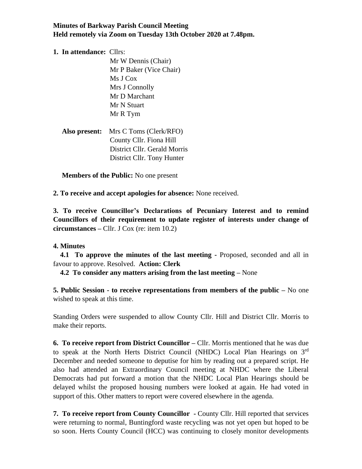# **Minutes of Barkway Parish Council Meeting Held remotely via Zoom on Tuesday 13th October 2020 at 7.48pm.**

### **1. In attendance:** Cllrs:

 Mr W Dennis (Chair) Mr P Baker (Vice Chair) Ms J Cox Mrs J Connolly Mr D Marchant Mr N Stuart Mr R Tym

| <b>Also present:</b> Mrs C Toms (Clerk/RFO) |
|---------------------------------------------|
| County Cllr. Fiona Hill                     |
| District Cllr. Gerald Morris                |
| District Cllr. Tony Hunter                  |

 **Members of the Public:** No one present

**2. To receive and accept apologies for absence:** None received.

**3. To receive Councillor's Declarations of Pecuniary Interest and to remind Councillors of their requirement to update register of interests under change of circumstances –** Cllr. J Cox (re: item 10.2)

## **4. Minutes**

 **4.1 To approve the minutes of the last meeting -** Proposed, seconded and all in favour to approve. Resolved. **Action: Clerk**

 **4.2 To consider any matters arising from the last meeting –** None

**5. Public Session - to receive representations from members of the public –** No one wished to speak at this time.

Standing Orders were suspended to allow County Cllr. Hill and District Cllr. Morris to make their reports.

**6. To receive report from District Councillor –** Cllr. Morris mentioned that he was due to speak at the North Herts District Council (NHDC) Local Plan Hearings on 3rd December and needed someone to deputise for him by reading out a prepared script. He also had attended an Extraordinary Council meeting at NHDC where the Liberal Democrats had put forward a motion that the NHDC Local Plan Hearings should be delayed whilst the proposed housing numbers were looked at again. He had voted in support of this. Other matters to report were covered elsewhere in the agenda.

**7. To receive report from County Councillor -** County Cllr. Hill reported that services were returning to normal, Buntingford waste recycling was not yet open but hoped to be so soon. Herts County Council (HCC) was continuing to closely monitor developments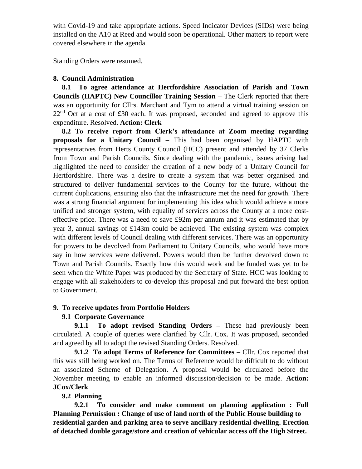with Covid-19 and take appropriate actions. Speed Indicator Devices (SIDs) were being installed on the A10 at Reed and would soon be operational. Other matters to report were covered elsewhere in the agenda.

Standing Orders were resumed.

## **8. Council Administration**

 **8.1 To agree attendance at Hertfordshire Association of Parish and Town Councils (HAPTC) New Councillor Training Session –** The Clerk reported that there was an opportunity for Cllrs. Marchant and Tym to attend a virtual training session on  $22<sup>nd</sup>$  Oct at a cost of £30 each. It was proposed, seconded and agreed to approve this expenditure. Resolved. **Action: Clerk**

 **8.2 To receive report from Clerk's attendance at Zoom meeting regarding proposals for a Unitary Council –** This had been organised by HAPTC with representatives from Herts County Council (HCC) present and attended by 37 Clerks from Town and Parish Councils. Since dealing with the pandemic, issues arising had highlighted the need to consider the creation of a new body of a Unitary Council for Hertfordshire. There was a desire to create a system that was better organised and structured to deliver fundamental services to the County for the future, without the current duplications, ensuring also that the infrastructure met the need for growth. There was a strong financial argument for implementing this idea which would achieve a more unified and stronger system, with equality of services across the County at a more costeffective price. There was a need to save £92m per annum and it was estimated that by year 3, annual savings of £143m could be achieved. The existing system was complex with different levels of Council dealing with different services. There was an opportunity for powers to be devolved from Parliament to Unitary Councils, who would have more say in how services were delivered. Powers would then be further devolved down to Town and Parish Councils. Exactly how this would work and be funded was yet to be seen when the White Paper was produced by the Secretary of State. HCC was looking to engage with all stakeholders to co-develop this proposal and put forward the best option to Government.

## **9. To receive updates from Portfolio Holders**

## **9.1 Corporate Governance**

 **9.1.1 To adopt revised Standing Orders –** These had previously been circulated. A couple of queries were clarified by Cllr. Cox. It was proposed, seconded and agreed by all to adopt the revised Standing Orders. Resolved.

 **9.1.2 To adopt Terms of Reference for Committees –** Cllr. Cox reported that this was still being worked on. The Terms of Reference would be difficult to do without an associated Scheme of Delegation. A proposal would be circulated before the November meeting to enable an informed discussion/decision to be made. **Action: JCox/Clerk**

## **9.2 Planning**

 **9.2.1 To consider and make comment on planning application : Full Planning Permission : Change of use of land north of the Public House building to residential garden and parking area to serve ancillary residential dwelling. Erection of detached double garage/store and creation of vehicular access off the High Street.**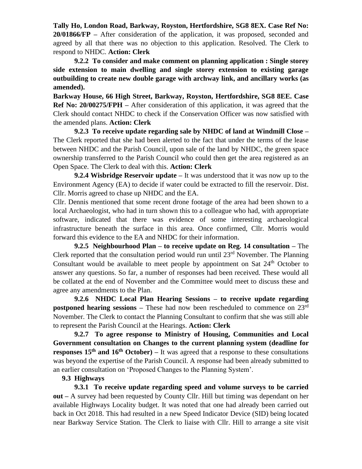**Tally Ho, London Road, Barkway, Royston, Hertfordshire, SG8 8EX. Case Ref No: 20/01866/FP –** After consideration of the application, it was proposed, seconded and agreed by all that there was no objection to this application. Resolved. The Clerk to respond to NHDC. **Action: Clerk**

 **9.2.2 To consider and make comment on planning application : Single storey side extension to main dwelling and single storey extension to existing garage outbuilding to create new double garage with archway link, and ancillary works (as amended).**

**Barkway House, 66 High Street, Barkway, Royston, Hertfordshire, SG8 8EE. Case Ref No: 20/00275/FPH –** After consideration of this application, it was agreed that the Clerk should contact NHDC to check if the Conservation Officer was now satisfied with the amended plans. **Action: Clerk**

 **9.2.3 To receive update regarding sale by NHDC of land at Windmill Close –** The Clerk reported that she had been alerted to the fact that under the terms of the lease between NHDC and the Parish Council, upon sale of the land by NHDC, the green space ownership transferred to the Parish Council who could then get the area registered as an Open Space. The Clerk to deal with this. **Action: Clerk**

 **9.2.4 Wisbridge Reservoir update –** It was understood that it was now up to the Environment Agency (EA) to decide if water could be extracted to fill the reservoir. Dist. Cllr. Morris agreed to chase up NHDC and the EA.

Cllr. Dennis mentioned that some recent drone footage of the area had been shown to a local Archaeologist, who had in turn shown this to a colleague who had, with appropriate software, indicated that there was evidence of some interesting archaeological infrastructure beneath the surface in this area. Once confirmed, Cllr. Morris would forward this evidence to the EA and NHDC for their information.

 **9.2.5 Neighbourhood Plan – to receive update on Reg. 14 consultation –** The Clerk reported that the consultation period would run until  $23<sup>rd</sup>$  November. The Planning Consultant would be available to meet people by appointment on Sat  $24<sup>th</sup>$  October to answer any questions. So far, a number of responses had been received. These would all be collated at the end of November and the Committee would meet to discuss these and agree any amendments to the Plan.

 **9.2.6 NHDC Local Plan Hearing Sessions – to receive update regarding postponed hearing sessions** – These had now been rescheduled to commence on 23<sup>rd</sup> November. The Clerk to contact the Planning Consultant to confirm that she was still able to represent the Parish Council at the Hearings. **Action: Clerk**

 **9.2.7 To agree response to Ministry of Housing, Communities and Local Government consultation on Changes to the current planning system (deadline for responses 15th and 16th October) –** It was agreed that a response to these consultations was beyond the expertise of the Parish Council. A response had been already submitted to an earlier consultation on 'Proposed Changes to the Planning System'.

## **9.3 Highways**

 **9.3.1 To receive update regarding speed and volume surveys to be carried out –** A survey had been requested by County Cllr. Hill but timing was dependant on her available Highways Locality budget. It was noted that one had already been carried out back in Oct 2018. This had resulted in a new Speed Indicator Device (SID) being located near Barkway Service Station. The Clerk to liaise with Cllr. Hill to arrange a site visit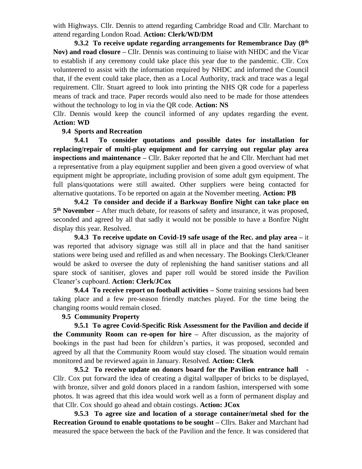with Highways. Cllr. Dennis to attend regarding Cambridge Road and Cllr. Marchant to attend regarding London Road. **Action: Clerk/WD/DM**

 **9.3.2 To receive update regarding arrangements for Remembrance Day (8th Nov) and road closure –** Cllr. Dennis was continuing to liaise with NHDC and the Vicar to establish if any ceremony could take place this year due to the pandemic. Cllr. Cox volunteered to assist with the information required by NHDC and informed the Council that, if the event could take place, then as a Local Authority, track and trace was a legal requirement. Cllr. Stuart agreed to look into printing the NHS QR code for a paperless means of track and trace. Paper records would also need to be made for those attendees without the technology to log in via the QR code. **Action: NS**

Cllr. Dennis would keep the council informed of any updates regarding the event. **Action: WD**

### **9.4 Sports and Recreation**

 **9.4.1 To consider quotations and possible dates for installation for replacing/repair of multi-play equipment and for carrying out regular play area inspections and maintenance –** Cllr. Baker reported that he and Cllr. Merchant had met a representative from a play equipment supplier and been given a good overview of what equipment might be appropriate, including provision of some adult gym equipment. The full plans/quotations were still awaited. Other suppliers were being contacted for alternative quotations. To be reported on again at the November meeting. **Action: PB**

 **9.4.2 To consider and decide if a Barkway Bonfire Night can take place on 5 th November –** After much debate, for reasons of safety and insurance, it was proposed, seconded and agreed by all that sadly it would not be possible to have a Bonfire Night display this year. Resolved.

 **9.4.3 To receive update on Covid-19 safe usage of the Rec. and play area –** it was reported that advisory signage was still all in place and that the hand sanitiser stations were being used and refilled as and when necessary. The Bookings Clerk/Cleaner would be asked to oversee the duty of replenishing the hand sanitiser stations and all spare stock of sanitiser, gloves and paper roll would be stored inside the Pavilion Cleaner's cupboard. **Action: Clerk/JCox**

 **9.4.4 To receive report on football activities –** Some training sessions had been taking place and a few pre-season friendly matches played. For the time being the changing rooms would remain closed.

#### **9.5 Community Property**

 **9.5.1 To agree Covid-Specific Risk Assessment for the Pavilion and decide if the Community Room can re-open for hire –** After discussion, as the majority of bookings in the past had been for children's parties, it was proposed, seconded and agreed by all that the Community Room would stay closed. The situation would remain monitored and be reviewed again in January. Resolved. **Action: Clerk**

 **9.5.2 To receive update on donors board for the Pavilion entrance hall -** Cllr. Cox put forward the idea of creating a digital wallpaper of bricks to be displayed, with bronze, silver and gold donors placed in a random fashion, interspersed with some photos. It was agreed that this idea would work well as a form of permanent display and that Cllr. Cox should go ahead and obtain costings. **Action: JCox** 

 **9.5.3 To agree size and location of a storage container/metal shed for the Recreation Ground to enable quotations to be sought –** Cllrs. Baker and Marchant had measured the space between the back of the Pavilion and the fence. It was considered that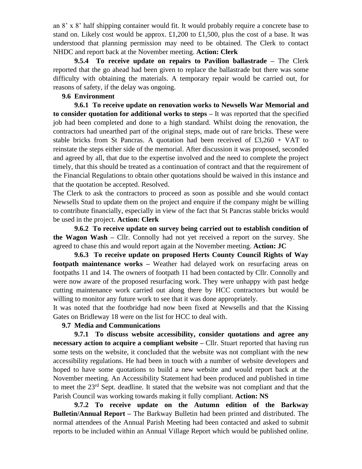an 8' x 8' half shipping container would fit. It would probably require a concrete base to stand on. Likely cost would be approx. £1,200 to £1,500, plus the cost of a base. It was understood that planning permission may need to be obtained. The Clerk to contact NHDC and report back at the November meeting. **Action: Clerk**

 **9.5.4 To receive update on repairs to Pavilion ballastrade –** The Clerk reported that the go ahead had been given to replace the ballastrade but there was some difficulty with obtaining the materials. A temporary repair would be carried out, for reasons of safety, if the delay was ongoing.

#### **9.6 Environment**

 **9.6.1 To receive update on renovation works to Newsells War Memorial and to consider quotation for additional works to steps –** It was reported that the specified job had been completed and done to a high standard. Whilst doing the renovation, the contractors had unearthed part of the original steps, made out of rare bricks. These were stable bricks from St Pancras. A quotation had been received of  $\text{\pounds}3,260 + \text{VAT}$  to reinstate the steps either side of the memorial. After discussion it was proposed, seconded and agreed by all, that due to the expertise involved and the need to complete the project timely, that this should be treated as a continuation of contract and that the requirement of the Financial Regulations to obtain other quotations should be waived in this instance and that the quotation be accepted. Resolved.

The Clerk to ask the contractors to proceed as soon as possible and she would contact Newsells Stud to update them on the project and enquire if the company might be willing to contribute financially, especially in view of the fact that St Pancras stable bricks would be used in the project. **Action: Clerk**

 **9.6.2 To receive update on survey being carried out to establish condition of the Wagon Wash –** Cllr. Connolly had not yet received a report on the survey. She agreed to chase this and would report again at the November meeting. **Action: JC**

 **9.6.3 To receive update on proposed Herts County Council Rights of Way footpath maintenance works** – Weather had delayed work on resurfacing areas on footpaths 11 and 14. The owners of footpath 11 had been contacted by Cllr. Connolly and were now aware of the proposed resurfacing work. They were unhappy with past hedge cutting maintenance work carried out along there by HCC contractors but would be willing to monitor any future work to see that it was done appropriately.

It was noted that the footbridge had now been fixed at Newsells and that the Kissing Gates on Bridleway 18 were on the list for HCC to deal with.

#### **9.7 Media and Communications**

 **9.7.1 To discuss website accessibility, consider quotations and agree any necessary action to acquire a compliant website –** Cllr. Stuart reported that having run some tests on the website, it concluded that the website was not compliant with the new accessibility regulations. He had been in touch with a number of website developers and hoped to have some quotations to build a new website and would report back at the November meeting. An Accessibility Statement had been produced and published in time to meet the 23rd Sept. deadline. It stated that the website was not compliant and that the Parish Council was working towards making it fully compliant. **Action: NS**

 **9.7.2 To receive update on the Autumn edition of the Barkway Bulletin/Annual Report –** The Barkway Bulletin had been printed and distributed. The normal attendees of the Annual Parish Meeting had been contacted and asked to submit reports to be included within an Annual Village Report which would be published online.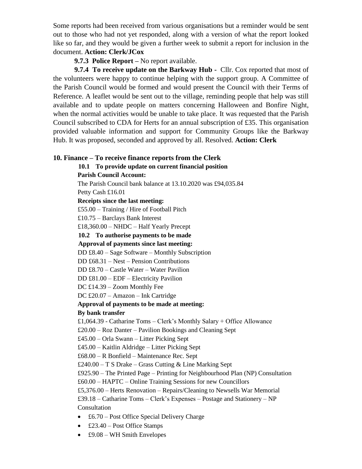Some reports had been received from various organisations but a reminder would be sent out to those who had not yet responded, along with a version of what the report looked like so far, and they would be given a further week to submit a report for inclusion in the document. **Action: Clerk/JCox**

## **9.7.3 Police Report –** No report available.

**9.7.4 To receive update on the Barkway Hub -** Cllr. Cox reported that most of the volunteers were happy to continue helping with the support group. A Committee of the Parish Council would be formed and would present the Council with their Terms of Reference. A leaflet would be sent out to the village, reminding people that help was still available and to update people on matters concerning Halloween and Bonfire Night, when the normal activities would be unable to take place. It was requested that the Parish Council subscribed to CDA for Herts for an annual subscription of £35. This organisation provided valuable information and support for Community Groups like the Barkway Hub. It was proposed, seconded and approved by all. Resolved. **Action: Clerk**

## **10. Finance – To receive finance reports from the Clerk**

**10.1 To provide update on current financial position**

**Parish Council Account:**

The Parish Council bank balance at 13.10.2020 was £94,035.84

Petty Cash £16.01

**Receipts since the last meeting:** 

£55.00 – Training / Hire of Football Pitch

£10.75 – Barclays Bank Interest

£18,360.00 – NHDC – Half Yearly Precept

## **10.2 To authorise payments to be made**

**Approval of payments since last meeting:**

DD £8.40 – Sage Software – Monthly Subscription

DD £68.31 – Nest – Pension Contributions

DD £8.70 – Castle Water – Water Pavilion

DD £81.00 – EDF – Electricity Pavilion

DC £14.39 – Zoom Monthly Fee

DC £20.07 – Amazon – Ink Cartridge

#### **Approval of payments to be made at meeting:**

#### **By bank transfer**

£1,064.39 - Catharine Toms – Clerk's Monthly Salary + Office Allowance

£20.00 – Roz Danter – Pavilion Bookings and Cleaning Sept

£45.00 – Orla Swann – Litter Picking Sept

£45.00 – Kaitlin Aldridge – Litter Picking Sept

£68.00 – R Bonfield – Maintenance Rec. Sept

£240.00 – T S Drake – Grass Cutting & Line Marking Sept

£925.90 – The Printed Page – Printing for Neighbourhood Plan (NP) Consultation

£60.00 – HAPTC – Online Training Sessions for new Councillors

£5,376.00 – Herts Renovation – Repairs/Cleaning to Newsells War Memorial

£39.18 – Catharine Toms – Clerk's Expenses – Postage and Stationery – NP Consultation

- £6.70 Post Office Special Delivery Charge
- £23.40 Post Office Stamps
- $£9.08 WH Smith Envelopes$